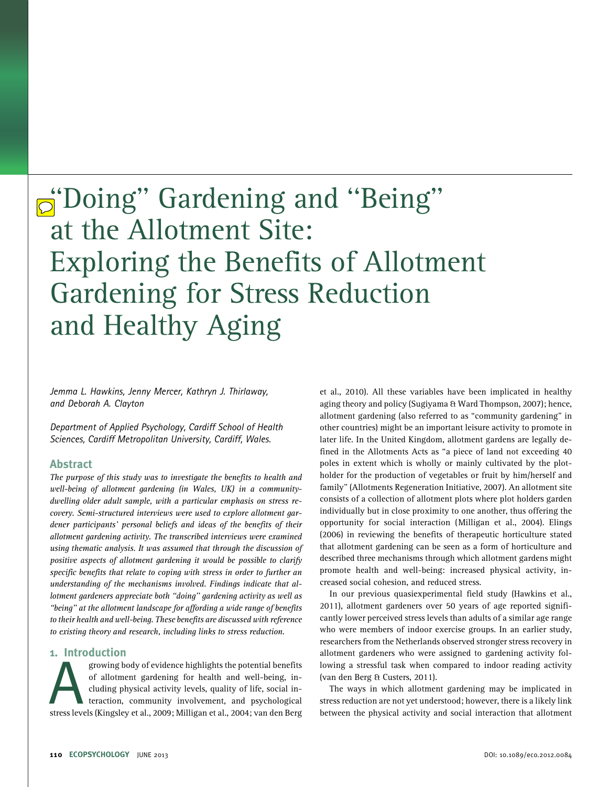# $\sigma'$ Doing" Gardening and "Being" at the Allotment Site: Exploring the Benefits of Allotment Gardening for Stress Reduction and Healthy Aging

Jemma L. Hawkins, Jenny Mercer, Kathryn J. Thirlaway, and Deborah A. Clayton

Department of Applied Psychology, Cardiff School of Health Sciences, Cardiff Metropolitan University, Cardiff, Wales.

#### Abstract

The purpose of this study was to investigate the benefits to health and well-being of allotment gardening (in Wales, UK) in a communitydwelling older adult sample, with a particular emphasis on stress recovery. Semi-structured interviews were used to explore allotment gardener participants' personal beliefs and ideas of the benefits of their allotment gardening activity. The transcribed interviews were examined using thematic analysis. It was assumed that through the discussion of positive aspects of allotment gardening it would be possible to clarify specific benefits that relate to coping with stress in order to further an understanding of the mechanisms involved. Findings indicate that allotment gardeners appreciate both ''doing'' gardening activity as well as ''being'' at the allotment landscape for affording a wide range of benefits to their health and well-being. These benefits are discussed with reference to existing theory and research, including links to stress reduction.

#### 1. Introduction

growing body of evidence highlights the potential benefits of allotment gardening for health and well-being, including physical activity levels, quality of life, social interaction, community involvement, and psychological stress levels (Kingsley et al., 2009; Milligan et al., 2004; van den Berg et al., 2010). All these variables have been implicated in healthy aging theory and policy (Sugiyama & Ward Thompson, 2007); hence, allotment gardening (also referred to as ''community gardening'' in other countries) might be an important leisure activity to promote in later life. In the United Kingdom, allotment gardens are legally defined in the Allotments Acts as ''a piece of land not exceeding 40 poles in extent which is wholly or mainly cultivated by the plotholder for the production of vegetables or fruit by him/herself and family'' (Allotments Regeneration Initiative, 2007). An allotment site consists of a collection of allotment plots where plot holders garden individually but in close proximity to one another, thus offering the opportunity for social interaction (Milligan et al., 2004). Elings (2006) in reviewing the benefits of therapeutic horticulture stated that allotment gardening can be seen as a form of horticulture and described three mechanisms through which allotment gardens might promote health and well-being: increased physical activity, increased social cohesion, and reduced stress.

In our previous quasiexperimental field study (Hawkins et al., 2011), allotment gardeners over 50 years of age reported significantly lower perceived stress levels than adults of a similar age range who were members of indoor exercise groups. In an earlier study, researchers from the Netherlands observed stronger stress recovery in allotment gardeners who were assigned to gardening activity following a stressful task when compared to indoor reading activity (van den Berg & Custers, 2011).

The ways in which allotment gardening may be implicated in stress reduction are not yet understood; however, there is a likely link between the physical activity and social interaction that allotment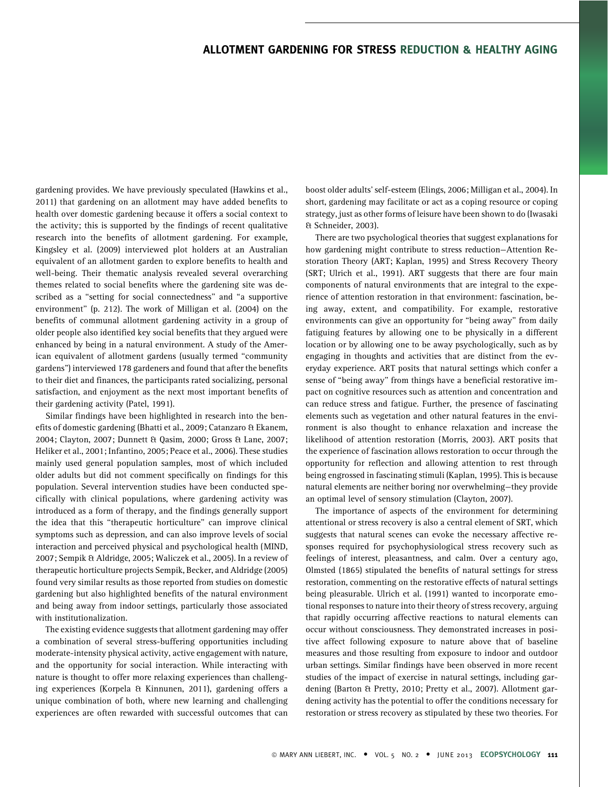gardening provides. We have previously speculated (Hawkins et al., 2011) that gardening on an allotment may have added benefits to health over domestic gardening because it offers a social context to the activity; this is supported by the findings of recent qualitative research into the benefits of allotment gardening. For example, Kingsley et al. (2009) interviewed plot holders at an Australian equivalent of an allotment garden to explore benefits to health and well-being. Their thematic analysis revealed several overarching themes related to social benefits where the gardening site was described as a ''setting for social connectedness'' and ''a supportive environment'' (p. 212). The work of Milligan et al. (2004) on the benefits of communal allotment gardening activity in a group of older people also identified key social benefits that they argued were enhanced by being in a natural environment. A study of the American equivalent of allotment gardens (usually termed ''community gardens'') interviewed 178 gardeners and found that after the benefits to their diet and finances, the participants rated socializing, personal satisfaction, and enjoyment as the next most important benefits of their gardening activity (Patel, 1991).

Similar findings have been highlighted in research into the benefits of domestic gardening (Bhatti et al., 2009; Catanzaro & Ekanem, 2004; Clayton, 2007; Dunnett & Qasim, 2000; Gross & Lane, 2007; Heliker et al., 2001; Infantino, 2005; Peace et al., 2006). These studies mainly used general population samples, most of which included older adults but did not comment specifically on findings for this population. Several intervention studies have been conducted specifically with clinical populations, where gardening activity was introduced as a form of therapy, and the findings generally support the idea that this ''therapeutic horticulture'' can improve clinical symptoms such as depression, and can also improve levels of social interaction and perceived physical and psychological health (MIND, 2007; Sempik & Aldridge, 2005; Waliczek et al., 2005). In a review of therapeutic horticulture projects Sempik, Becker, and Aldridge (2005) found very similar results as those reported from studies on domestic gardening but also highlighted benefits of the natural environment and being away from indoor settings, particularly those associated with institutionalization.

The existing evidence suggests that allotment gardening may offer a combination of several stress-buffering opportunities including moderate-intensity physical activity, active engagement with nature, and the opportunity for social interaction. While interacting with nature is thought to offer more relaxing experiences than challenging experiences (Korpela & Kinnunen, 2011), gardening offers a unique combination of both, where new learning and challenging experiences are often rewarded with successful outcomes that can boost older adults' self-esteem (Elings, 2006; Milligan et al., 2004). In short, gardening may facilitate or act as a coping resource or coping strategy, just as other forms of leisure have been shown to do (Iwasaki & Schneider, 2003).

There are two psychological theories that suggest explanations for how gardening might contribute to stress reduction—Attention Restoration Theory (ART; Kaplan, 1995) and Stress Recovery Theory (SRT; Ulrich et al., 1991). ART suggests that there are four main components of natural environments that are integral to the experience of attention restoration in that environment: fascination, being away, extent, and compatibility. For example, restorative environments can give an opportunity for ''being away'' from daily fatiguing features by allowing one to be physically in a different location or by allowing one to be away psychologically, such as by engaging in thoughts and activities that are distinct from the everyday experience. ART posits that natural settings which confer a sense of ''being away'' from things have a beneficial restorative impact on cognitive resources such as attention and concentration and can reduce stress and fatigue. Further, the presence of fascinating elements such as vegetation and other natural features in the environment is also thought to enhance relaxation and increase the likelihood of attention restoration (Morris, 2003). ART posits that the experience of fascination allows restoration to occur through the opportunity for reflection and allowing attention to rest through being engrossed in fascinating stimuli (Kaplan, 1995). This is because natural elements are neither boring nor overwhelming—they provide an optimal level of sensory stimulation (Clayton, 2007).

The importance of aspects of the environment for determining attentional or stress recovery is also a central element of SRT, which suggests that natural scenes can evoke the necessary affective responses required for psychophysiological stress recovery such as feelings of interest, pleasantness, and calm. Over a century ago, Olmsted (1865) stipulated the benefits of natural settings for stress restoration, commenting on the restorative effects of natural settings being pleasurable. Ulrich et al. (1991) wanted to incorporate emotional responses to nature into their theory of stress recovery, arguing that rapidly occurring affective reactions to natural elements can occur without consciousness. They demonstrated increases in positive affect following exposure to nature above that of baseline measures and those resulting from exposure to indoor and outdoor urban settings. Similar findings have been observed in more recent studies of the impact of exercise in natural settings, including gardening (Barton & Pretty, 2010; Pretty et al., 2007). Allotment gardening activity has the potential to offer the conditions necessary for restoration or stress recovery as stipulated by these two theories. For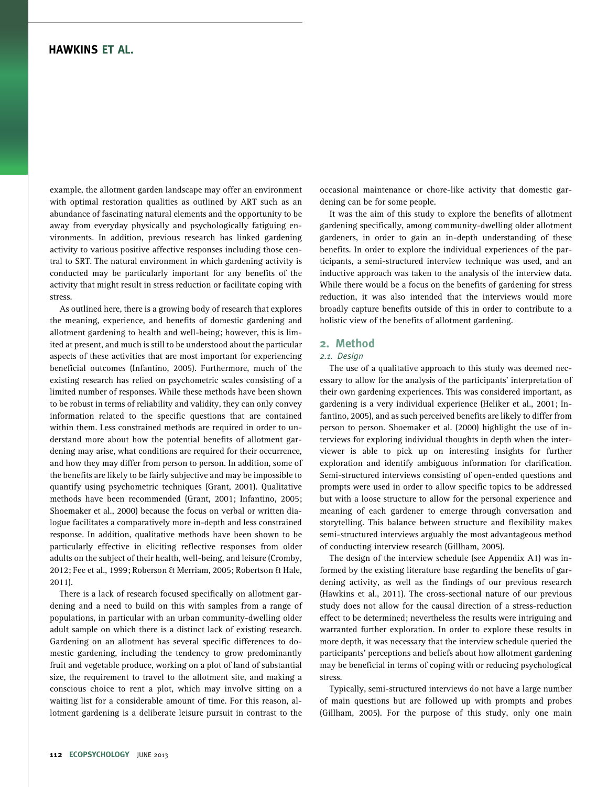example, the allotment garden landscape may offer an environment with optimal restoration qualities as outlined by ART such as an abundance of fascinating natural elements and the opportunity to be away from everyday physically and psychologically fatiguing environments. In addition, previous research has linked gardening activity to various positive affective responses including those central to SRT. The natural environment in which gardening activity is conducted may be particularly important for any benefits of the activity that might result in stress reduction or facilitate coping with stress.

As outlined here, there is a growing body of research that explores the meaning, experience, and benefits of domestic gardening and allotment gardening to health and well-being; however, this is limited at present, and much is still to be understood about the particular aspects of these activities that are most important for experiencing beneficial outcomes (Infantino, 2005). Furthermore, much of the existing research has relied on psychometric scales consisting of a limited number of responses. While these methods have been shown to be robust in terms of reliability and validity, they can only convey information related to the specific questions that are contained within them. Less constrained methods are required in order to understand more about how the potential benefits of allotment gardening may arise, what conditions are required for their occurrence, and how they may differ from person to person. In addition, some of the benefits are likely to be fairly subjective and may be impossible to quantify using psychometric techniques (Grant, 2001). Qualitative methods have been recommended (Grant, 2001; Infantino, 2005; Shoemaker et al., 2000) because the focus on verbal or written dialogue facilitates a comparatively more in-depth and less constrained response. In addition, qualitative methods have been shown to be particularly effective in eliciting reflective responses from older adults on the subject of their health, well-being, and leisure (Cromby, 2012; Fee et al., 1999; Roberson & Merriam, 2005; Robertson & Hale, 2011).

There is a lack of research focused specifically on allotment gardening and a need to build on this with samples from a range of populations, in particular with an urban community-dwelling older adult sample on which there is a distinct lack of existing research. Gardening on an allotment has several specific differences to domestic gardening, including the tendency to grow predominantly fruit and vegetable produce, working on a plot of land of substantial size, the requirement to travel to the allotment site, and making a conscious choice to rent a plot, which may involve sitting on a waiting list for a considerable amount of time. For this reason, allotment gardening is a deliberate leisure pursuit in contrast to the

occasional maintenance or chore-like activity that domestic gardening can be for some people.

It was the aim of this study to explore the benefits of allotment gardening specifically, among community-dwelling older allotment gardeners, in order to gain an in-depth understanding of these benefits. In order to explore the individual experiences of the participants, a semi-structured interview technique was used, and an inductive approach was taken to the analysis of the interview data. While there would be a focus on the benefits of gardening for stress reduction, it was also intended that the interviews would more broadly capture benefits outside of this in order to contribute to a holistic view of the benefits of allotment gardening.

#### 2. Method

#### 2.1. Design

The use of a qualitative approach to this study was deemed necessary to allow for the analysis of the participants' interpretation of their own gardening experiences. This was considered important, as gardening is a very individual experience (Heliker et al., 2001; Infantino, 2005), and as such perceived benefits are likely to differ from person to person. Shoemaker et al. (2000) highlight the use of interviews for exploring individual thoughts in depth when the interviewer is able to pick up on interesting insights for further exploration and identify ambiguous information for clarification. Semi-structured interviews consisting of open-ended questions and prompts were used in order to allow specific topics to be addressed but with a loose structure to allow for the personal experience and meaning of each gardener to emerge through conversation and storytelling. This balance between structure and flexibility makes semi-structured interviews arguably the most advantageous method of conducting interview research (Gillham, 2005).

The design of the interview schedule (see Appendix A1) was informed by the existing literature base regarding the benefits of gardening activity, as well as the findings of our previous research (Hawkins et al., 2011). The cross-sectional nature of our previous study does not allow for the causal direction of a stress-reduction effect to be determined; nevertheless the results were intriguing and warranted further exploration. In order to explore these results in more depth, it was necessary that the interview schedule queried the participants' perceptions and beliefs about how allotment gardening may be beneficial in terms of coping with or reducing psychological stress.

Typically, semi-structured interviews do not have a large number of main questions but are followed up with prompts and probes (Gillham, 2005). For the purpose of this study, only one main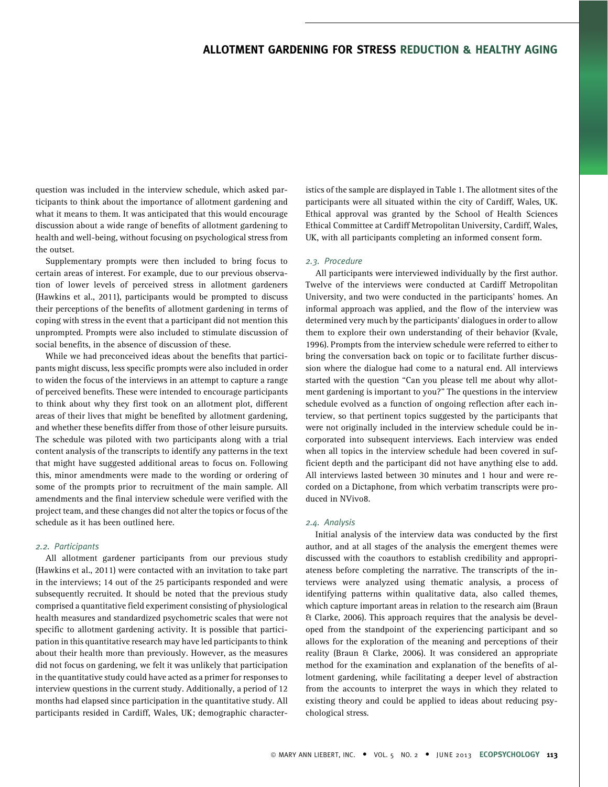question was included in the interview schedule, which asked participants to think about the importance of allotment gardening and what it means to them. It was anticipated that this would encourage discussion about a wide range of benefits of allotment gardening to health and well-being, without focusing on psychological stress from the outset.

Supplementary prompts were then included to bring focus to certain areas of interest. For example, due to our previous observation of lower levels of perceived stress in allotment gardeners (Hawkins et al., 2011), participants would be prompted to discuss their perceptions of the benefits of allotment gardening in terms of coping with stress in the event that a participant did not mention this unprompted. Prompts were also included to stimulate discussion of social benefits, in the absence of discussion of these.

While we had preconceived ideas about the benefits that participants might discuss, less specific prompts were also included in order to widen the focus of the interviews in an attempt to capture a range of perceived benefits. These were intended to encourage participants to think about why they first took on an allotment plot, different areas of their lives that might be benefited by allotment gardening, and whether these benefits differ from those of other leisure pursuits. The schedule was piloted with two participants along with a trial content analysis of the transcripts to identify any patterns in the text that might have suggested additional areas to focus on. Following this, minor amendments were made to the wording or ordering of some of the prompts prior to recruitment of the main sample. All amendments and the final interview schedule were verified with the project team, and these changes did not alter the topics or focus of the schedule as it has been outlined here.

#### 2.2. Participants

All allotment gardener participants from our previous study (Hawkins et al., 2011) were contacted with an invitation to take part in the interviews; 14 out of the 25 participants responded and were subsequently recruited. It should be noted that the previous study comprised a quantitative field experiment consisting of physiological health measures and standardized psychometric scales that were not specific to allotment gardening activity. It is possible that participation in this quantitative research may have led participants to think about their health more than previously. However, as the measures did not focus on gardening, we felt it was unlikely that participation in the quantitative study could have acted as a primer for responses to interview questions in the current study. Additionally, a period of 12 months had elapsed since participation in the quantitative study. All participants resided in Cardiff, Wales, UK; demographic character-

istics of the sample are displayed in Table 1. The allotment sites of the participants were all situated within the city of Cardiff, Wales, UK. Ethical approval was granted by the School of Health Sciences Ethical Committee at Cardiff Metropolitan University, Cardiff, Wales, UK, with all participants completing an informed consent form.

#### 2.3. Procedure

All participants were interviewed individually by the first author. Twelve of the interviews were conducted at Cardiff Metropolitan University, and two were conducted in the participants' homes. An informal approach was applied, and the flow of the interview was determined very much by the participants' dialogues in order to allow them to explore their own understanding of their behavior (Kvale, 1996). Prompts from the interview schedule were referred to either to bring the conversation back on topic or to facilitate further discussion where the dialogue had come to a natural end. All interviews started with the question "Can you please tell me about why allotment gardening is important to you?'' The questions in the interview schedule evolved as a function of ongoing reflection after each interview, so that pertinent topics suggested by the participants that were not originally included in the interview schedule could be incorporated into subsequent interviews. Each interview was ended when all topics in the interview schedule had been covered in sufficient depth and the participant did not have anything else to add. All interviews lasted between 30 minutes and 1 hour and were recorded on a Dictaphone, from which verbatim transcripts were produced in NVivo8.

#### 2.4. Analysis

Initial analysis of the interview data was conducted by the first author, and at all stages of the analysis the emergent themes were discussed with the coauthors to establish credibility and appropriateness before completing the narrative. The transcripts of the interviews were analyzed using thematic analysis, a process of identifying patterns within qualitative data, also called themes, which capture important areas in relation to the research aim (Braun & Clarke, 2006). This approach requires that the analysis be developed from the standpoint of the experiencing participant and so allows for the exploration of the meaning and perceptions of their reality (Braun & Clarke, 2006). It was considered an appropriate method for the examination and explanation of the benefits of allotment gardening, while facilitating a deeper level of abstraction from the accounts to interpret the ways in which they related to existing theory and could be applied to ideas about reducing psychological stress.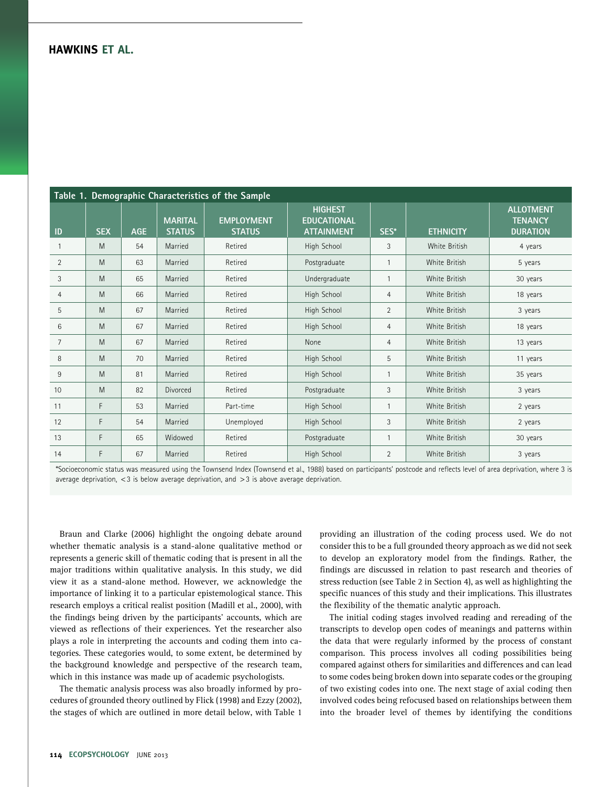| Table 1. Demographic Characteristics of the Sample |            |            |                                 |                                    |                                                           |                |                  |                                                       |
|----------------------------------------------------|------------|------------|---------------------------------|------------------------------------|-----------------------------------------------------------|----------------|------------------|-------------------------------------------------------|
| ID                                                 | <b>SEX</b> | <b>AGE</b> | <b>MARITAL</b><br><b>STATUS</b> | <b>EMPLOYMENT</b><br><b>STATUS</b> | <b>HIGHEST</b><br><b>EDUCATIONAL</b><br><b>ATTAINMENT</b> | SES*           | <b>ETHNICITY</b> | <b>ALLOTMENT</b><br><b>TENANCY</b><br><b>DURATION</b> |
|                                                    | M          | 54         | Married                         | Retired                            | High School                                               | 3              | White British    | 4 years                                               |
| 2                                                  | M          | 63         | Married                         | Retired                            | Postgraduate                                              |                | White British    | 5 years                                               |
| 3                                                  | M          | 65         | Married                         | Retired                            | Undergraduate                                             |                | White British    | 30 years                                              |
| 4                                                  | M          | 66         | Married                         | Retired                            | High School                                               | 4              | White British    | 18 years                                              |
| 5                                                  | M          | 67         | Married                         | Retired                            | High School                                               | $\overline{2}$ | White British    | 3 years                                               |
| 6                                                  | M          | 67         | Married                         | Retired                            | High School                                               | $\overline{4}$ | White British    | 18 years                                              |
| $\overline{7}$                                     | M          | 67         | Married                         | Retired                            | None                                                      | $\overline{4}$ | White British    | 13 years                                              |
| 8                                                  | M          | 70         | Married                         | Retired                            | High School                                               | 5              | White British    | 11 years                                              |
| 9                                                  | M          | 81         | Married                         | Retired                            | High School                                               |                | White British    | 35 years                                              |
| 10                                                 | M          | 82         | Divorced                        | Retired                            | Postgraduate                                              | 3              | White British    | 3 years                                               |
| 11                                                 | F          | 53         | Married                         | Part-time                          | High School                                               | 1              | White British    | 2 years                                               |
| 12                                                 | F          | 54         | Married                         | Unemployed                         | High School                                               | 3              | White British    | 2 years                                               |
| 13                                                 | F          | 65         | Widowed                         | Retired                            | Postgraduate                                              |                | White British    | 30 years                                              |
| 14                                                 | F          | 67         | Married                         | Retired                            | High School                                               | 2              | White British    | 3 years                                               |

\*Socioeconomic status was measured using the Townsend Index (Townsend et al., 1988) based on participants' postcode and reflects level of area deprivation, where 3 is average deprivation,  $<$ 3 is below average deprivation, and  $>$ 3 is above average deprivation.

Braun and Clarke (2006) highlight the ongoing debate around whether thematic analysis is a stand-alone qualitative method or represents a generic skill of thematic coding that is present in all the major traditions within qualitative analysis. In this study, we did view it as a stand-alone method. However, we acknowledge the importance of linking it to a particular epistemological stance. This research employs a critical realist position (Madill et al., 2000), with the findings being driven by the participants' accounts, which are viewed as reflections of their experiences. Yet the researcher also plays a role in interpreting the accounts and coding them into categories. These categories would, to some extent, be determined by the background knowledge and perspective of the research team, which in this instance was made up of academic psychologists.

The thematic analysis process was also broadly informed by procedures of grounded theory outlined by Flick (1998) and Ezzy (2002), the stages of which are outlined in more detail below, with Table 1

providing an illustration of the coding process used. We do not consider this to be a full grounded theory approach as we did not seek to develop an exploratory model from the findings. Rather, the findings are discussed in relation to past research and theories of stress reduction (see Table 2 in Section 4), as well as highlighting the specific nuances of this study and their implications. This illustrates the flexibility of the thematic analytic approach.

The initial coding stages involved reading and rereading of the transcripts to develop open codes of meanings and patterns within the data that were regularly informed by the process of constant comparison. This process involves all coding possibilities being compared against others for similarities and differences and can lead to some codes being broken down into separate codes or the grouping of two existing codes into one. The next stage of axial coding then involved codes being refocused based on relationships between them into the broader level of themes by identifying the conditions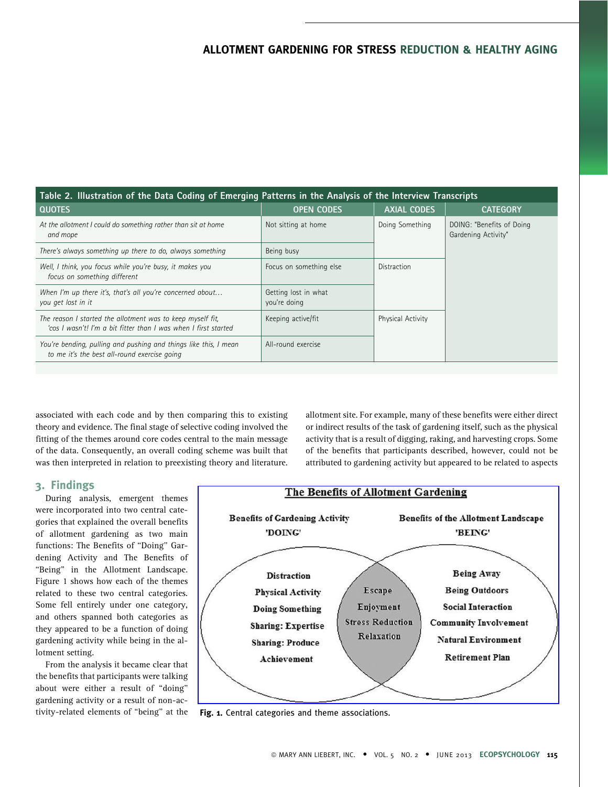| Table 2. Illustration of the Data Coding of Emerging Patterns in the Analysis of the Interview Transcripts                    |                                      |                    |                                                  |  |  |  |
|-------------------------------------------------------------------------------------------------------------------------------|--------------------------------------|--------------------|--------------------------------------------------|--|--|--|
| <b>QUOTES</b>                                                                                                                 | <b>OPEN CODES</b>                    | <b>AXIAL CODES</b> | <b>CATEGORY</b>                                  |  |  |  |
| At the allotment I could do something rather than sit at home<br>and mope                                                     | Not sitting at home                  | Doing Something    | DOING: "Benefits of Doing<br>Gardening Activity" |  |  |  |
| There's always something up there to do, always something                                                                     | Being busy                           |                    |                                                  |  |  |  |
| Well, I think, you focus while you're busy, it makes you<br>focus on something different                                      | Focus on something else              | Distraction        |                                                  |  |  |  |
| When I'm up there it's, that's all you're concerned about<br>you get lost in it                                               | Getting lost in what<br>you're doing |                    |                                                  |  |  |  |
| The reason I started the allotment was to keep myself fit,<br>'cos I wasn't! I'm a bit fitter than I was when I first started | Keeping active/fit                   | Physical Activity  |                                                  |  |  |  |
| You're bending, pulling and pushing and things like this, I mean<br>to me it's the best all-round exercise going              | All-round exercise                   |                    |                                                  |  |  |  |
|                                                                                                                               |                                      |                    |                                                  |  |  |  |

associated with each code and by then comparing this to existing theory and evidence. The final stage of selective coding involved the fitting of the themes around core codes central to the main message of the data. Consequently, an overall coding scheme was built that was then interpreted in relation to preexisting theory and literature. allotment site. For example, many of these benefits were either direct or indirect results of the task of gardening itself, such as the physical activity that is a result of digging, raking, and harvesting crops. Some of the benefits that participants described, however, could not be attributed to gardening activity but appeared to be related to aspects

## 3. Findings

During analysis, emergent themes were incorporated into two central categories that explained the overall benefits of allotment gardening as two main functions: The Benefits of ''Doing'' Gardening Activity and The Benefits of "Being" in the Allotment Landscape. Figure 1 shows how each of the themes related to these two central categories. Some fell entirely under one category, and others spanned both categories as they appeared to be a function of doing gardening activity while being in the allotment setting.

From the analysis it became clear that the benefits that participants were talking about were either a result of "doing" gardening activity or a result of non-activity-related elements of ''being'' at the



Fig. 1. Central categories and theme associations.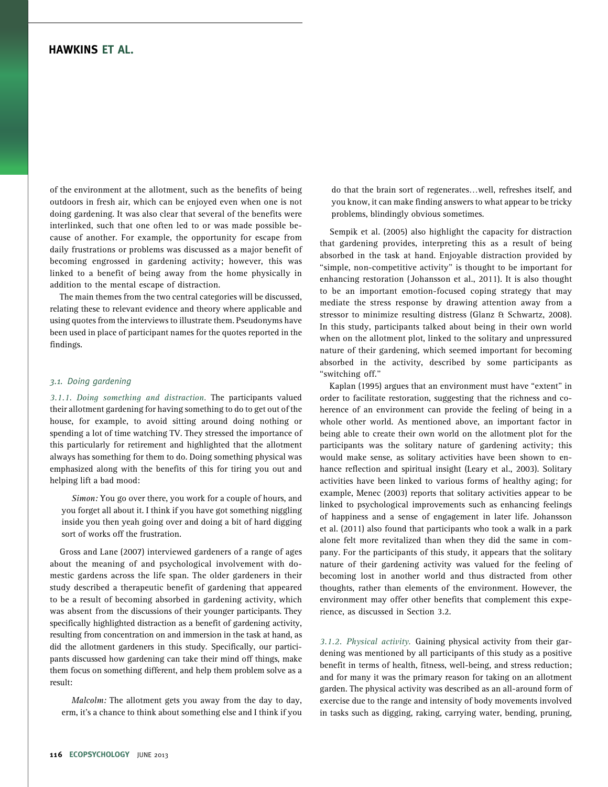of the environment at the allotment, such as the benefits of being outdoors in fresh air, which can be enjoyed even when one is not doing gardening. It was also clear that several of the benefits were interlinked, such that one often led to or was made possible because of another. For example, the opportunity for escape from daily frustrations or problems was discussed as a major benefit of becoming engrossed in gardening activity; however, this was linked to a benefit of being away from the home physically in addition to the mental escape of distraction.

The main themes from the two central categories will be discussed, relating these to relevant evidence and theory where applicable and using quotes from the interviews to illustrate them. Pseudonyms have been used in place of participant names for the quotes reported in the findings.

#### 3.1. Doing gardening

3.1.1. Doing something and distraction. The participants valued their allotment gardening for having something to do to get out of the house, for example, to avoid sitting around doing nothing or spending a lot of time watching TV. They stressed the importance of this particularly for retirement and highlighted that the allotment always has something for them to do. Doing something physical was emphasized along with the benefits of this for tiring you out and helping lift a bad mood:

Simon: You go over there, you work for a couple of hours, and you forget all about it. I think if you have got something niggling inside you then yeah going over and doing a bit of hard digging sort of works off the frustration.

Gross and Lane (2007) interviewed gardeners of a range of ages about the meaning of and psychological involvement with domestic gardens across the life span. The older gardeners in their study described a therapeutic benefit of gardening that appeared to be a result of becoming absorbed in gardening activity, which was absent from the discussions of their younger participants. They specifically highlighted distraction as a benefit of gardening activity, resulting from concentration on and immersion in the task at hand, as did the allotment gardeners in this study. Specifically, our participants discussed how gardening can take their mind off things, make them focus on something different, and help them problem solve as a result:

Malcolm: The allotment gets you away from the day to day, erm, it's a chance to think about something else and I think if you do that the brain sort of regenerates...well, refreshes itself, and you know, it can make finding answers to what appear to be tricky problems, blindingly obvious sometimes.

Sempik et al. (2005) also highlight the capacity for distraction that gardening provides, interpreting this as a result of being absorbed in the task at hand. Enjoyable distraction provided by "simple, non-competitive activity" is thought to be important for enhancing restoration ( Johansson et al., 2011). It is also thought to be an important emotion-focused coping strategy that may mediate the stress response by drawing attention away from a stressor to minimize resulting distress (Glanz & Schwartz, 2008). In this study, participants talked about being in their own world when on the allotment plot, linked to the solitary and unpressured nature of their gardening, which seemed important for becoming absorbed in the activity, described by some participants as ''switching off.''

Kaplan (1995) argues that an environment must have "extent" in order to facilitate restoration, suggesting that the richness and coherence of an environment can provide the feeling of being in a whole other world. As mentioned above, an important factor in being able to create their own world on the allotment plot for the participants was the solitary nature of gardening activity; this would make sense, as solitary activities have been shown to enhance reflection and spiritual insight (Leary et al., 2003). Solitary activities have been linked to various forms of healthy aging; for example, Menec (2003) reports that solitary activities appear to be linked to psychological improvements such as enhancing feelings of happiness and a sense of engagement in later life. Johansson et al. (2011) also found that participants who took a walk in a park alone felt more revitalized than when they did the same in company. For the participants of this study, it appears that the solitary nature of their gardening activity was valued for the feeling of becoming lost in another world and thus distracted from other thoughts, rather than elements of the environment. However, the environment may offer other benefits that complement this experience, as discussed in Section 3.2.

3.1.2. Physical activity. Gaining physical activity from their gardening was mentioned by all participants of this study as a positive benefit in terms of health, fitness, well-being, and stress reduction; and for many it was the primary reason for taking on an allotment garden. The physical activity was described as an all-around form of exercise due to the range and intensity of body movements involved in tasks such as digging, raking, carrying water, bending, pruning,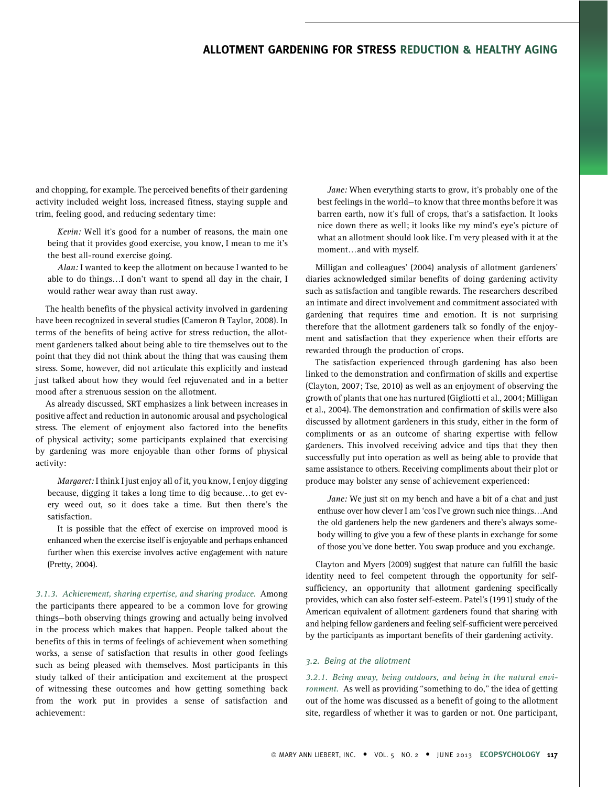and chopping, for example. The perceived benefits of their gardening activity included weight loss, increased fitness, staying supple and trim, feeling good, and reducing sedentary time:

Kevin: Well it's good for a number of reasons, the main one being that it provides good exercise, you know, I mean to me it's the best all-round exercise going.

Alan: I wanted to keep the allotment on because I wanted to be able to do things...I don't want to spend all day in the chair, I would rather wear away than rust away.

The health benefits of the physical activity involved in gardening have been recognized in several studies (Cameron & Taylor, 2008). In terms of the benefits of being active for stress reduction, the allotment gardeners talked about being able to tire themselves out to the point that they did not think about the thing that was causing them stress. Some, however, did not articulate this explicitly and instead just talked about how they would feel rejuvenated and in a better mood after a strenuous session on the allotment.

As already discussed, SRT emphasizes a link between increases in positive affect and reduction in autonomic arousal and psychological stress. The element of enjoyment also factored into the benefits of physical activity; some participants explained that exercising by gardening was more enjoyable than other forms of physical activity:

Margaret: I think I just enjoy all of it, you know, I enjoy digging because, digging it takes a long time to dig because...to get every weed out, so it does take a time. But then there's the satisfaction.

It is possible that the effect of exercise on improved mood is enhanced when the exercise itself is enjoyable and perhaps enhanced further when this exercise involves active engagement with nature (Pretty, 2004).

3.1.3. Achievement, sharing expertise, and sharing produce. Among the participants there appeared to be a common love for growing things—both observing things growing and actually being involved in the process which makes that happen. People talked about the benefits of this in terms of feelings of achievement when something works, a sense of satisfaction that results in other good feelings such as being pleased with themselves. Most participants in this study talked of their anticipation and excitement at the prospect of witnessing these outcomes and how getting something back from the work put in provides a sense of satisfaction and achievement:

Jane: When everything starts to grow, it's probably one of the best feelings in the world—to know that three months before it was barren earth, now it's full of crops, that's a satisfaction. It looks nice down there as well; it looks like my mind's eye's picture of what an allotment should look like. I'm very pleased with it at the moment...and with myself.

Milligan and colleagues' (2004) analysis of allotment gardeners' diaries acknowledged similar benefits of doing gardening activity such as satisfaction and tangible rewards. The researchers described an intimate and direct involvement and commitment associated with gardening that requires time and emotion. It is not surprising therefore that the allotment gardeners talk so fondly of the enjoyment and satisfaction that they experience when their efforts are rewarded through the production of crops.

The satisfaction experienced through gardening has also been linked to the demonstration and confirmation of skills and expertise (Clayton, 2007; Tse, 2010) as well as an enjoyment of observing the growth of plants that one has nurtured (Gigliotti et al., 2004; Milligan et al., 2004). The demonstration and confirmation of skills were also discussed by allotment gardeners in this study, either in the form of compliments or as an outcome of sharing expertise with fellow gardeners. This involved receiving advice and tips that they then successfully put into operation as well as being able to provide that same assistance to others. Receiving compliments about their plot or produce may bolster any sense of achievement experienced:

Jane: We just sit on my bench and have a bit of a chat and just enthuse over how clever I am 'cos I've grown such nice things...And the old gardeners help the new gardeners and there's always somebody willing to give you a few of these plants in exchange for some of those you've done better. You swap produce and you exchange.

Clayton and Myers (2009) suggest that nature can fulfill the basic identity need to feel competent through the opportunity for selfsufficiency, an opportunity that allotment gardening specifically provides, which can also foster self-esteem. Patel's (1991) study of the American equivalent of allotment gardeners found that sharing with and helping fellow gardeners and feeling self-sufficient were perceived by the participants as important benefits of their gardening activity.

#### 3.2. Being at the allotment

3.2.1. Being away, being outdoors, and being in the natural environment. As well as providing "something to do," the idea of getting out of the home was discussed as a benefit of going to the allotment site, regardless of whether it was to garden or not. One participant,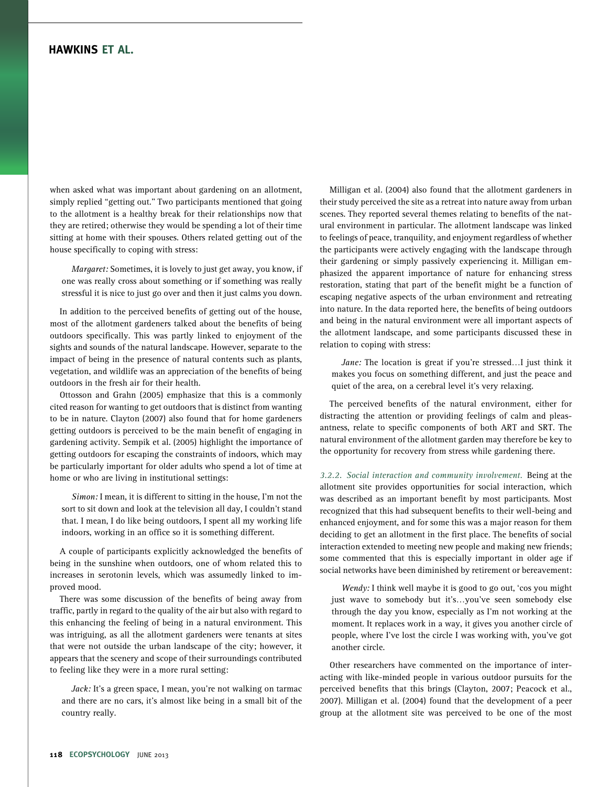when asked what was important about gardening on an allotment, simply replied "getting out." Two participants mentioned that going to the allotment is a healthy break for their relationships now that they are retired; otherwise they would be spending a lot of their time sitting at home with their spouses. Others related getting out of the house specifically to coping with stress:

Margaret: Sometimes, it is lovely to just get away, you know, if one was really cross about something or if something was really stressful it is nice to just go over and then it just calms you down.

In addition to the perceived benefits of getting out of the house, most of the allotment gardeners talked about the benefits of being outdoors specifically. This was partly linked to enjoyment of the sights and sounds of the natural landscape. However, separate to the impact of being in the presence of natural contents such as plants, vegetation, and wildlife was an appreciation of the benefits of being outdoors in the fresh air for their health.

Ottosson and Grahn (2005) emphasize that this is a commonly cited reason for wanting to get outdoors that is distinct from wanting to be in nature. Clayton (2007) also found that for home gardeners getting outdoors is perceived to be the main benefit of engaging in gardening activity. Sempik et al. (2005) highlight the importance of getting outdoors for escaping the constraints of indoors, which may be particularly important for older adults who spend a lot of time at home or who are living in institutional settings:

Simon: I mean, it is different to sitting in the house, I'm not the sort to sit down and look at the television all day, I couldn't stand that. I mean, I do like being outdoors, I spent all my working life indoors, working in an office so it is something different.

A couple of participants explicitly acknowledged the benefits of being in the sunshine when outdoors, one of whom related this to increases in serotonin levels, which was assumedly linked to improved mood.

There was some discussion of the benefits of being away from traffic, partly in regard to the quality of the air but also with regard to this enhancing the feeling of being in a natural environment. This was intriguing, as all the allotment gardeners were tenants at sites that were not outside the urban landscape of the city; however, it appears that the scenery and scope of their surroundings contributed to feeling like they were in a more rural setting:

Jack: It's a green space, I mean, you're not walking on tarmac and there are no cars, it's almost like being in a small bit of the country really.

Milligan et al. (2004) also found that the allotment gardeners in their study perceived the site as a retreat into nature away from urban scenes. They reported several themes relating to benefits of the natural environment in particular. The allotment landscape was linked to feelings of peace, tranquility, and enjoyment regardless of whether the participants were actively engaging with the landscape through their gardening or simply passively experiencing it. Milligan emphasized the apparent importance of nature for enhancing stress restoration, stating that part of the benefit might be a function of escaping negative aspects of the urban environment and retreating into nature. In the data reported here, the benefits of being outdoors and being in the natural environment were all important aspects of the allotment landscape, and some participants discussed these in relation to coping with stress:

Jane: The location is great if you're stressed...I just think it makes you focus on something different, and just the peace and quiet of the area, on a cerebral level it's very relaxing.

The perceived benefits of the natural environment, either for distracting the attention or providing feelings of calm and pleasantness, relate to specific components of both ART and SRT. The natural environment of the allotment garden may therefore be key to the opportunity for recovery from stress while gardening there.

3.2.2. Social interaction and community involvement. Being at the allotment site provides opportunities for social interaction, which was described as an important benefit by most participants. Most recognized that this had subsequent benefits to their well-being and enhanced enjoyment, and for some this was a major reason for them deciding to get an allotment in the first place. The benefits of social interaction extended to meeting new people and making new friends; some commented that this is especially important in older age if social networks have been diminished by retirement or bereavement:

Wendy: I think well maybe it is good to go out, 'cos you might just wave to somebody but it's...you've seen somebody else through the day you know, especially as I'm not working at the moment. It replaces work in a way, it gives you another circle of people, where I've lost the circle I was working with, you've got another circle.

Other researchers have commented on the importance of interacting with like-minded people in various outdoor pursuits for the perceived benefits that this brings (Clayton, 2007; Peacock et al., 2007). Milligan et al. (2004) found that the development of a peer group at the allotment site was perceived to be one of the most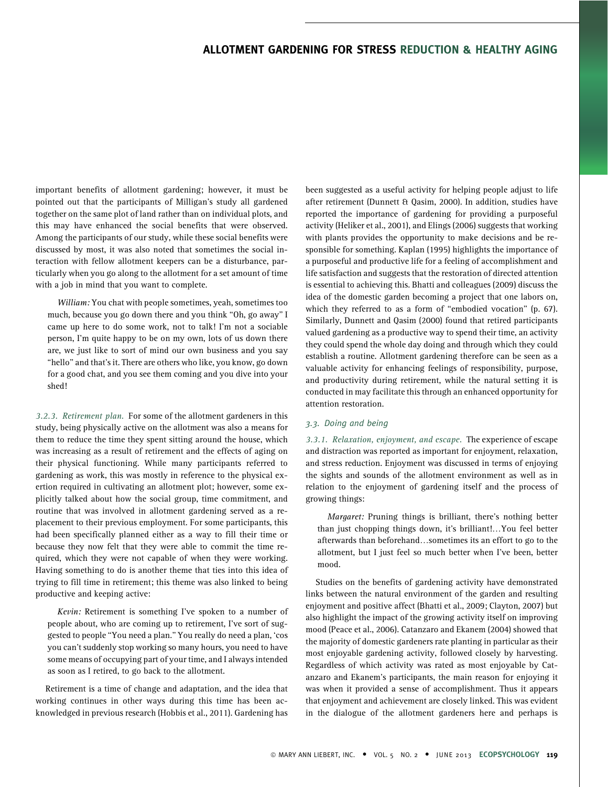important benefits of allotment gardening; however, it must be pointed out that the participants of Milligan's study all gardened together on the same plot of land rather than on individual plots, and this may have enhanced the social benefits that were observed. Among the participants of our study, while these social benefits were discussed by most, it was also noted that sometimes the social interaction with fellow allotment keepers can be a disturbance, particularly when you go along to the allotment for a set amount of time with a job in mind that you want to complete.

William: You chat with people sometimes, yeah, sometimes too much, because you go down there and you think ''Oh, go away'' I came up here to do some work, not to talk! I'm not a sociable person, I'm quite happy to be on my own, lots of us down there are, we just like to sort of mind our own business and you say ''hello'' and that's it. There are others who like, you know, go down for a good chat, and you see them coming and you dive into your shed!

3.2.3. Retirement plan. For some of the allotment gardeners in this study, being physically active on the allotment was also a means for them to reduce the time they spent sitting around the house, which was increasing as a result of retirement and the effects of aging on their physical functioning. While many participants referred to gardening as work, this was mostly in reference to the physical exertion required in cultivating an allotment plot; however, some explicitly talked about how the social group, time commitment, and routine that was involved in allotment gardening served as a replacement to their previous employment. For some participants, this had been specifically planned either as a way to fill their time or because they now felt that they were able to commit the time required, which they were not capable of when they were working. Having something to do is another theme that ties into this idea of trying to fill time in retirement; this theme was also linked to being productive and keeping active:

Kevin: Retirement is something I've spoken to a number of people about, who are coming up to retirement, I've sort of suggested to people ''You need a plan.'' You really do need a plan, 'cos you can't suddenly stop working so many hours, you need to have some means of occupying part of your time, and I always intended as soon as I retired, to go back to the allotment.

Retirement is a time of change and adaptation, and the idea that working continues in other ways during this time has been acknowledged in previous research (Hobbis et al., 2011). Gardening has been suggested as a useful activity for helping people adjust to life after retirement (Dunnett & Qasim, 2000). In addition, studies have reported the importance of gardening for providing a purposeful activity (Heliker et al., 2001), and Elings (2006) suggests that working with plants provides the opportunity to make decisions and be responsible for something. Kaplan (1995) highlights the importance of a purposeful and productive life for a feeling of accomplishment and life satisfaction and suggests that the restoration of directed attention is essential to achieving this. Bhatti and colleagues (2009) discuss the idea of the domestic garden becoming a project that one labors on, which they referred to as a form of ''embodied vocation'' (p. 67). Similarly, Dunnett and Qasim (2000) found that retired participants valued gardening as a productive way to spend their time, an activity they could spend the whole day doing and through which they could establish a routine. Allotment gardening therefore can be seen as a valuable activity for enhancing feelings of responsibility, purpose, and productivity during retirement, while the natural setting it is conducted in may facilitate this through an enhanced opportunity for attention restoration.

#### 3.3. Doing and being

3.3.1. Relaxation, enjoyment, and escape. The experience of escape and distraction was reported as important for enjoyment, relaxation, and stress reduction. Enjoyment was discussed in terms of enjoying the sights and sounds of the allotment environment as well as in relation to the enjoyment of gardening itself and the process of growing things:

Margaret: Pruning things is brilliant, there's nothing better than just chopping things down, it's brilliant!...You feel better afterwards than beforehand...sometimes its an effort to go to the allotment, but I just feel so much better when I've been, better mood.

Studies on the benefits of gardening activity have demonstrated links between the natural environment of the garden and resulting enjoyment and positive affect (Bhatti et al., 2009; Clayton, 2007) but also highlight the impact of the growing activity itself on improving mood (Peace et al., 2006). Catanzaro and Ekanem (2004) showed that the majority of domestic gardeners rate planting in particular as their most enjoyable gardening activity, followed closely by harvesting. Regardless of which activity was rated as most enjoyable by Catanzaro and Ekanem's participants, the main reason for enjoying it was when it provided a sense of accomplishment. Thus it appears that enjoyment and achievement are closely linked. This was evident in the dialogue of the allotment gardeners here and perhaps is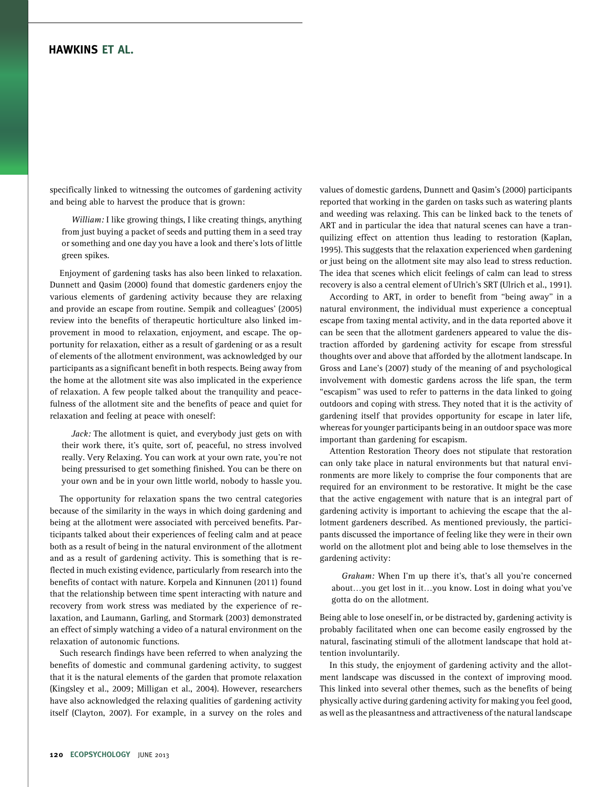specifically linked to witnessing the outcomes of gardening activity and being able to harvest the produce that is grown:

William: I like growing things, I like creating things, anything from just buying a packet of seeds and putting them in a seed tray or something and one day you have a look and there's lots of little green spikes.

Enjoyment of gardening tasks has also been linked to relaxation. Dunnett and Qasim (2000) found that domestic gardeners enjoy the various elements of gardening activity because they are relaxing and provide an escape from routine. Sempik and colleagues' (2005) review into the benefits of therapeutic horticulture also linked improvement in mood to relaxation, enjoyment, and escape. The opportunity for relaxation, either as a result of gardening or as a result of elements of the allotment environment, was acknowledged by our participants as a significant benefit in both respects. Being away from the home at the allotment site was also implicated in the experience of relaxation. A few people talked about the tranquility and peacefulness of the allotment site and the benefits of peace and quiet for relaxation and feeling at peace with oneself:

Jack: The allotment is quiet, and everybody just gets on with their work there, it's quite, sort of, peaceful, no stress involved really. Very Relaxing. You can work at your own rate, you're not being pressurised to get something finished. You can be there on your own and be in your own little world, nobody to hassle you.

The opportunity for relaxation spans the two central categories because of the similarity in the ways in which doing gardening and being at the allotment were associated with perceived benefits. Participants talked about their experiences of feeling calm and at peace both as a result of being in the natural environment of the allotment and as a result of gardening activity. This is something that is reflected in much existing evidence, particularly from research into the benefits of contact with nature. Korpela and Kinnunen (2011) found that the relationship between time spent interacting with nature and recovery from work stress was mediated by the experience of relaxation, and Laumann, Garling, and Stormark (2003) demonstrated an effect of simply watching a video of a natural environment on the relaxation of autonomic functions.

Such research findings have been referred to when analyzing the benefits of domestic and communal gardening activity, to suggest that it is the natural elements of the garden that promote relaxation (Kingsley et al., 2009; Milligan et al., 2004). However, researchers have also acknowledged the relaxing qualities of gardening activity itself (Clayton, 2007). For example, in a survey on the roles and

values of domestic gardens, Dunnett and Qasim's (2000) participants reported that working in the garden on tasks such as watering plants and weeding was relaxing. This can be linked back to the tenets of ART and in particular the idea that natural scenes can have a tranquilizing effect on attention thus leading to restoration (Kaplan, 1995). This suggests that the relaxation experienced when gardening or just being on the allotment site may also lead to stress reduction. The idea that scenes which elicit feelings of calm can lead to stress recovery is also a central element of Ulrich's SRT (Ulrich et al., 1991).

According to ART, in order to benefit from ''being away'' in a natural environment, the individual must experience a conceptual escape from taxing mental activity, and in the data reported above it can be seen that the allotment gardeners appeared to value the distraction afforded by gardening activity for escape from stressful thoughts over and above that afforded by the allotment landscape. In Gross and Lane's (2007) study of the meaning of and psychological involvement with domestic gardens across the life span, the term "escapism" was used to refer to patterns in the data linked to going outdoors and coping with stress. They noted that it is the activity of gardening itself that provides opportunity for escape in later life, whereas for younger participants being in an outdoor space was more important than gardening for escapism.

Attention Restoration Theory does not stipulate that restoration can only take place in natural environments but that natural environments are more likely to comprise the four components that are required for an environment to be restorative. It might be the case that the active engagement with nature that is an integral part of gardening activity is important to achieving the escape that the allotment gardeners described. As mentioned previously, the participants discussed the importance of feeling like they were in their own world on the allotment plot and being able to lose themselves in the gardening activity:

Graham: When I'm up there it's, that's all you're concerned about...you get lost in it...you know. Lost in doing what you've gotta do on the allotment.

Being able to lose oneself in, or be distracted by, gardening activity is probably facilitated when one can become easily engrossed by the natural, fascinating stimuli of the allotment landscape that hold attention involuntarily.

In this study, the enjoyment of gardening activity and the allotment landscape was discussed in the context of improving mood. This linked into several other themes, such as the benefits of being physically active during gardening activity for making you feel good, as well as the pleasantness and attractiveness of the natural landscape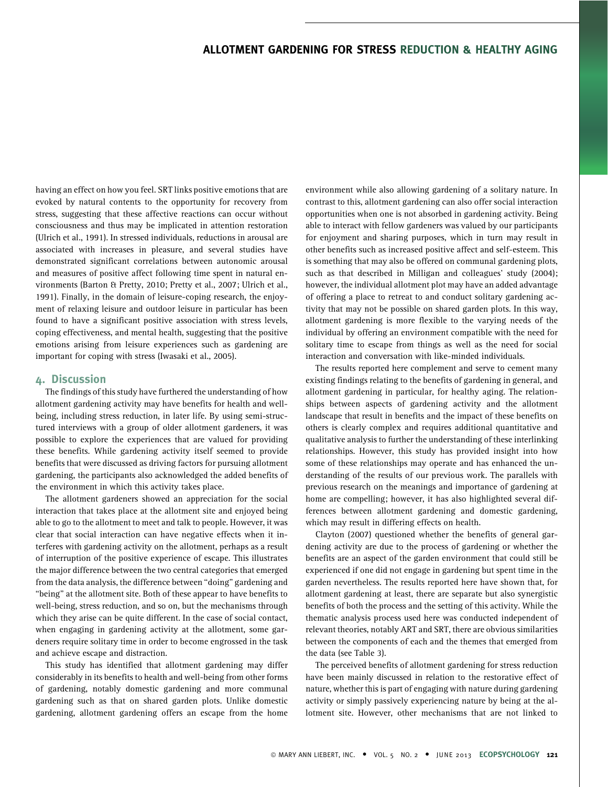having an effect on how you feel. SRT links positive emotions that are evoked by natural contents to the opportunity for recovery from stress, suggesting that these affective reactions can occur without consciousness and thus may be implicated in attention restoration (Ulrich et al., 1991). In stressed individuals, reductions in arousal are associated with increases in pleasure, and several studies have demonstrated significant correlations between autonomic arousal and measures of positive affect following time spent in natural environments (Barton & Pretty, 2010; Pretty et al., 2007; Ulrich et al., 1991). Finally, in the domain of leisure-coping research, the enjoyment of relaxing leisure and outdoor leisure in particular has been found to have a significant positive association with stress levels, coping effectiveness, and mental health, suggesting that the positive emotions arising from leisure experiences such as gardening are important for coping with stress (Iwasaki et al., 2005).

#### 4. Discussion

The findings of this study have furthered the understanding of how allotment gardening activity may have benefits for health and wellbeing, including stress reduction, in later life. By using semi-structured interviews with a group of older allotment gardeners, it was possible to explore the experiences that are valued for providing these benefits. While gardening activity itself seemed to provide benefits that were discussed as driving factors for pursuing allotment gardening, the participants also acknowledged the added benefits of the environment in which this activity takes place.

The allotment gardeners showed an appreciation for the social interaction that takes place at the allotment site and enjoyed being able to go to the allotment to meet and talk to people. However, it was clear that social interaction can have negative effects when it interferes with gardening activity on the allotment, perhaps as a result of interruption of the positive experience of escape. This illustrates the major difference between the two central categories that emerged from the data analysis, the difference between ''doing'' gardening and ''being'' at the allotment site. Both of these appear to have benefits to well-being, stress reduction, and so on, but the mechanisms through which they arise can be quite different. In the case of social contact, when engaging in gardening activity at the allotment, some gardeners require solitary time in order to become engrossed in the task and achieve escape and distraction.

This study has identified that allotment gardening may differ considerably in its benefits to health and well-being from other forms of gardening, notably domestic gardening and more communal gardening such as that on shared garden plots. Unlike domestic gardening, allotment gardening offers an escape from the home environment while also allowing gardening of a solitary nature. In contrast to this, allotment gardening can also offer social interaction opportunities when one is not absorbed in gardening activity. Being able to interact with fellow gardeners was valued by our participants for enjoyment and sharing purposes, which in turn may result in other benefits such as increased positive affect and self-esteem. This is something that may also be offered on communal gardening plots, such as that described in Milligan and colleagues' study (2004); however, the individual allotment plot may have an added advantage of offering a place to retreat to and conduct solitary gardening activity that may not be possible on shared garden plots. In this way, allotment gardening is more flexible to the varying needs of the individual by offering an environment compatible with the need for solitary time to escape from things as well as the need for social interaction and conversation with like-minded individuals.

The results reported here complement and serve to cement many existing findings relating to the benefits of gardening in general, and allotment gardening in particular, for healthy aging. The relationships between aspects of gardening activity and the allotment landscape that result in benefits and the impact of these benefits on others is clearly complex and requires additional quantitative and qualitative analysis to further the understanding of these interlinking relationships. However, this study has provided insight into how some of these relationships may operate and has enhanced the understanding of the results of our previous work. The parallels with previous research on the meanings and importance of gardening at home are compelling; however, it has also highlighted several differences between allotment gardening and domestic gardening, which may result in differing effects on health.

Clayton (2007) questioned whether the benefits of general gardening activity are due to the process of gardening or whether the benefits are an aspect of the garden environment that could still be experienced if one did not engage in gardening but spent time in the garden nevertheless. The results reported here have shown that, for allotment gardening at least, there are separate but also synergistic benefits of both the process and the setting of this activity. While the thematic analysis process used here was conducted independent of relevant theories, notably ART and SRT, there are obvious similarities between the components of each and the themes that emerged from the data (see Table 3).

The perceived benefits of allotment gardening for stress reduction have been mainly discussed in relation to the restorative effect of nature, whether this is part of engaging with nature during gardening activity or simply passively experiencing nature by being at the allotment site. However, other mechanisms that are not linked to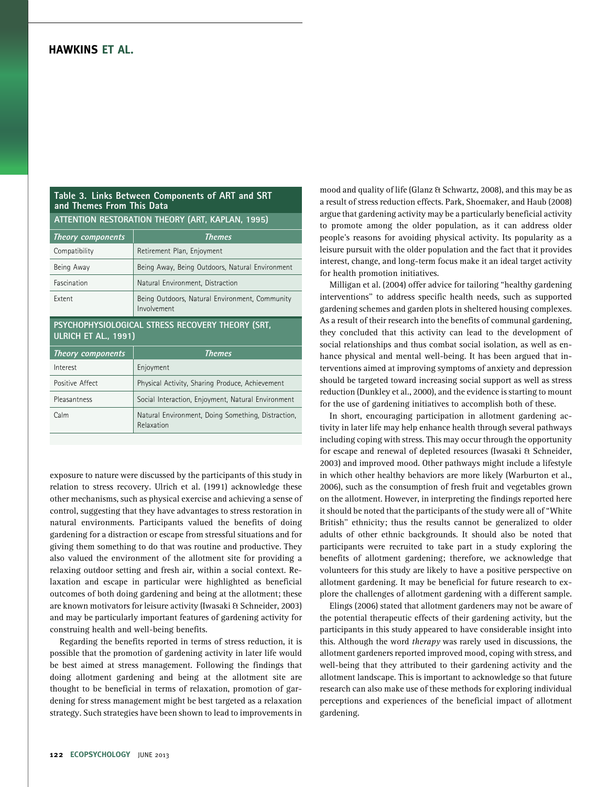## Table 3. Links Between Components of ART and SRT and Themes From This Data

ATTENTION RESTORATION THEORY (ART, KAPLAN, 1995)

| <b>Theory components</b> | <b>Themes</b>                                                 |
|--------------------------|---------------------------------------------------------------|
| Compatibility            | Retirement Plan, Enjoyment                                    |
| Being Away               | Being Away, Being Outdoors, Natural Environment               |
| Fascination              | Natural Environment, Distraction                              |
| Extent                   | Being Outdoors, Natural Environment, Community<br>Involvement |

#### PSYCHOPHYSIOLOGICAL STRESS RECOVERY THEORY (SRT, ULRICH ET AL., 1991)

| <b>Theory components</b> | <b>Themes</b>                                                    |
|--------------------------|------------------------------------------------------------------|
| Interest                 | Enjoyment                                                        |
| Positive Affect          | Physical Activity, Sharing Produce, Achievement                  |
| Pleasantness             | Social Interaction, Enjoyment, Natural Environment               |
| Calm                     | Natural Environment, Doing Something, Distraction,<br>Relaxation |

exposure to nature were discussed by the participants of this study in relation to stress recovery. Ulrich et al. (1991) acknowledge these other mechanisms, such as physical exercise and achieving a sense of control, suggesting that they have advantages to stress restoration in natural environments. Participants valued the benefits of doing gardening for a distraction or escape from stressful situations and for giving them something to do that was routine and productive. They also valued the environment of the allotment site for providing a relaxing outdoor setting and fresh air, within a social context. Relaxation and escape in particular were highlighted as beneficial outcomes of both doing gardening and being at the allotment; these are known motivators for leisure activity (Iwasaki & Schneider, 2003) and may be particularly important features of gardening activity for construing health and well-being benefits.

Regarding the benefits reported in terms of stress reduction, it is possible that the promotion of gardening activity in later life would be best aimed at stress management. Following the findings that doing allotment gardening and being at the allotment site are thought to be beneficial in terms of relaxation, promotion of gardening for stress management might be best targeted as a relaxation strategy. Such strategies have been shown to lead to improvements in

mood and quality of life (Glanz & Schwartz, 2008), and this may be as a result of stress reduction effects. Park, Shoemaker, and Haub (2008) argue that gardening activity may be a particularly beneficial activity to promote among the older population, as it can address older people's reasons for avoiding physical activity. Its popularity as a leisure pursuit with the older population and the fact that it provides interest, change, and long-term focus make it an ideal target activity for health promotion initiatives.

Milligan et al. (2004) offer advice for tailoring ''healthy gardening interventions'' to address specific health needs, such as supported gardening schemes and garden plots in sheltered housing complexes. As a result of their research into the benefits of communal gardening, they concluded that this activity can lead to the development of social relationships and thus combat social isolation, as well as enhance physical and mental well-being. It has been argued that interventions aimed at improving symptoms of anxiety and depression should be targeted toward increasing social support as well as stress reduction (Dunkley et al., 2000), and the evidence is starting to mount for the use of gardening initiatives to accomplish both of these.

In short, encouraging participation in allotment gardening activity in later life may help enhance health through several pathways including coping with stress. This may occur through the opportunity for escape and renewal of depleted resources (Iwasaki & Schneider, 2003) and improved mood. Other pathways might include a lifestyle in which other healthy behaviors are more likely (Warburton et al., 2006), such as the consumption of fresh fruit and vegetables grown on the allotment. However, in interpreting the findings reported here it should be noted that the participants of the study were all of ''White British'' ethnicity; thus the results cannot be generalized to older adults of other ethnic backgrounds. It should also be noted that participants were recruited to take part in a study exploring the benefits of allotment gardening; therefore, we acknowledge that volunteers for this study are likely to have a positive perspective on allotment gardening. It may be beneficial for future research to explore the challenges of allotment gardening with a different sample.

Elings (2006) stated that allotment gardeners may not be aware of the potential therapeutic effects of their gardening activity, but the participants in this study appeared to have considerable insight into this. Although the word *therapy* was rarely used in discussions, the allotment gardeners reported improved mood, coping with stress, and well-being that they attributed to their gardening activity and the allotment landscape. This is important to acknowledge so that future research can also make use of these methods for exploring individual perceptions and experiences of the beneficial impact of allotment gardening.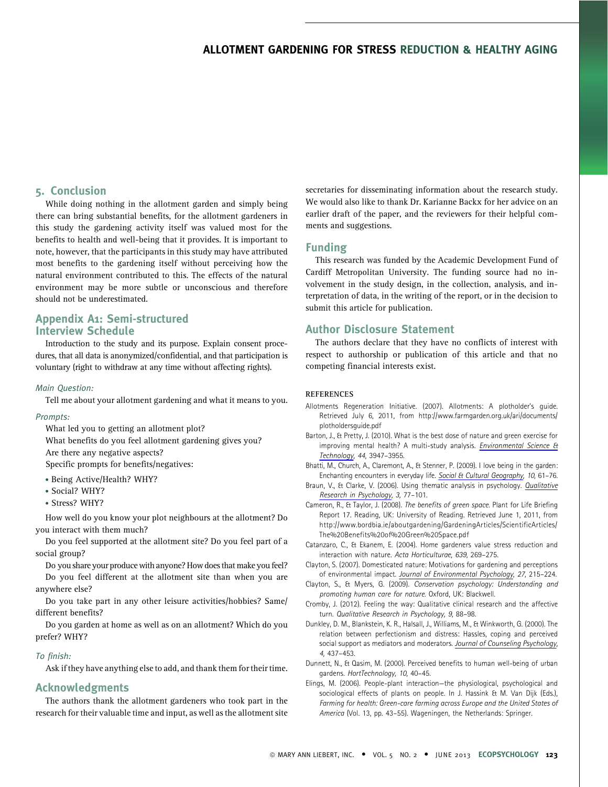#### 5. Conclusion

While doing nothing in the allotment garden and simply being there can bring substantial benefits, for the allotment gardeners in this study the gardening activity itself was valued most for the benefits to health and well-being that it provides. It is important to note, however, that the participants in this study may have attributed most benefits to the gardening itself without perceiving how the natural environment contributed to this. The effects of the natural environment may be more subtle or unconscious and therefore should not be underestimated.

# Appendix A1: Semi-structured Interview Schedule

Introduction to the study and its purpose. Explain consent procedures, that all data is anonymized/confidential, and that participation is voluntary (right to withdraw at any time without affecting rights).

#### Main Question:

Tell me about your allotment gardening and what it means to you.

#### Prompts:

What led you to getting an allotment plot?

What benefits do you feel allotment gardening gives you? Are there any negative aspects?

Specific prompts for benefits/negatives:

- . Being Active/Health? WHY?
- . Social? WHY?
- . Stress? WHY?

How well do you know your plot neighbours at the allotment? Do you interact with them much?

Do you feel supported at the allotment site? Do you feel part of a social group?

Do you share your produce with anyone? How does that make you feel? Do you feel different at the allotment site than when you are anywhere else?

Do you take part in any other leisure activities/hobbies? Same/ different benefits?

Do you garden at home as well as on an allotment? Which do you prefer? WHY?

## To finish:

Ask if they have anything else to add, and thank them for their time.

## Acknowledgments

The authors thank the allotment gardeners who took part in the research for their valuable time and input, as well as the allotment site secretaries for disseminating information about the research study. We would also like to thank Dr. Karianne Backx for her advice on an earlier draft of the paper, and the reviewers for their helpful comments and suggestions.

#### Funding

This research was funded by the Academic Development Fund of Cardiff Metropolitan University. The funding source had no involvement in the study design, in the collection, analysis, and interpretation of data, in the writing of the report, or in the decision to submit this article for publication.

#### Author Disclosure Statement

The authors declare that they have no conflicts of interest with respect to authorship or publication of this article and that no competing financial interests exist.

#### REFERENCES

- Allotments Regeneration Initiative. (2007). Allotments: A plotholder's guide. Retrieved July 6, 2011, from http://www.farmgarden.org.uk/ari/documents/ plotholdersguide.pdf
- Barton, J., & Pretty, J. (2010). What is the best dose of nature and green exercise for improving mental health? A multi-study analysis. Environmental Science & Technology, 44, 3947–3955.
- Bhatti, M., Church, A., Claremont, A., & Stenner, P. (2009). I love being in the garden: Enchanting encounters in everyday life. Social & Cultural Geography, 10, 61–76.
- Braun, V., & Clarke, V. (2006). Using thematic analysis in psychology. *Qualitative* Research in Psychology, 3, 77–101.
- Cameron, R., & Taylor, J. (2008). The benefits of green space. Plant for Life Briefing Report 17. Reading, UK: University of Reading. Retrieved June 1, 2011, from http://www.bordbia.ie/aboutgardening/GardeningArticles/ScientificArticles/ The%20Benefits%20of%20Green%20Space.pdf
- Catanzaro, C., & Ekanem, E. (2004). Home gardeners value stress reduction and interaction with nature. Acta Horticulturae, 639, 269–275.
- Clayton, S. (2007). Domesticated nature: Motivations for gardening and perceptions of environmental impact. Journal of Environmental Psychology, 27, 215–224.
- Clayton, S., & Myers, G. (2009). Conservation psychology: Understanding and promoting human care for nature. Oxford, UK: Blackwell.
- Cromby, J. (2012). Feeling the way: Qualitative clinical research and the affective turn. Qualitative Research in Psychology, 9, 88–98.
- Dunkley, D. M., Blankstein, K. R., Halsall, J., Williams, M., & Winkworth, G. (2000). The relation between perfectionism and distress: Hassles, coping and perceived social support as mediators and moderators. Journal of Counseling Psychology, 4, 437–453.
- Dunnett, N., & Qasim, M. (2000). Perceived benefits to human well-being of urban gardens. HortTechnology, 10, 40–45.
- Elings, M. (2006). People-plant interaction—the physiological, psychological and sociological effects of plants on people. In J. Hassink & M. Van Dijk (Eds.), Farming for health: Green-care farming across Europe and the United States of America (Vol. 13, pp. 43–55). Wageningen, the Netherlands: Springer.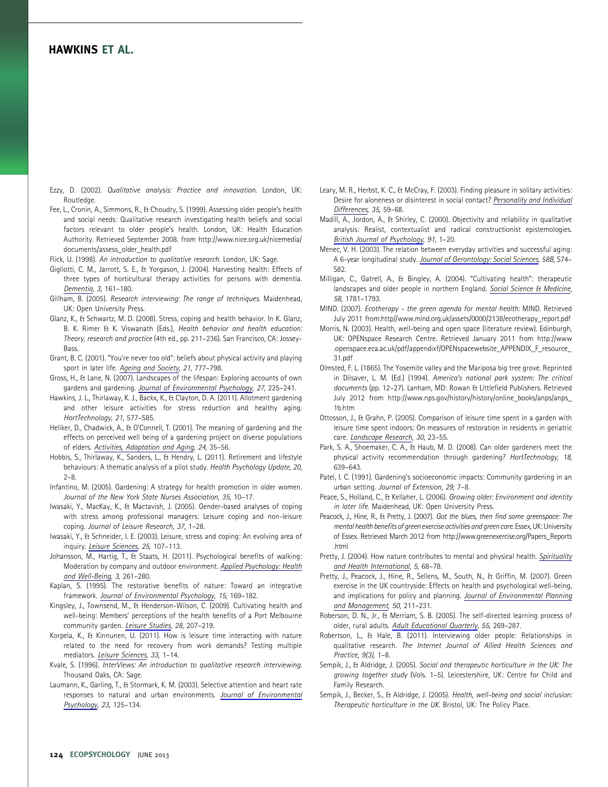Ezzy, D. (2002). Qualitative analysis: Practice and innovation. London, UK: Routledge.

- Fee, L., Cronin, A., Simmons, R., & Choudry, S. (1999). Assessing older people's health and social needs: Qualitative research investigating health beliefs and social factors relevant to older people's health. London, UK: Health Education Authority. Retrieved September 2008. from http://www.nice.org.uk/nicemedia/ documents/assess\_older\_health.pdf
- Flick, U. (1998). An introduction to qualitative research. London, UK: Sage.
- Gigliotti, C. M., Jarrott, S. E., & Yorgason, J. (2004). Harvesting health: Effects of three types of horticultural therapy activities for persons with dementia. Dementia, 3, 161–180.
- Gillham, B. (2005). Research interviewing: The range of techniques. Maidenhead, UK: Open University Press.
- Glanz, K., & Schwartz, M. D. (2008). Stress, coping and health behavior. In K. Glanz, B. K. Rimer & K. Viswanath (Eds.), Health behavior and health education: Theory, research and practice (4th ed., pp. 211–236). San Francisco, CA: Jossey-Bass.
- Grant, B. C. (2001). ''You're never too old'': beliefs about physical activity and playing sport in later life. Ageing and Society, 21, 777-798.
- Gross, H., & Lane, N. (2007). Landscapes of the lifespan: Exploring accounts of own gardens and gardening. Journal of Environmental Psychology, 27, 225–241.
- Hawkins, J. L., Thirlaway, K. J., Backx, K., & Clayton, D. A. (2011). Allotment gardening and other leisure activities for stress reduction and healthy aging. HortTechnology, 21, 577–585.
- Heliker, D., Chadwick, A., & O'Connell, T. (2001). The meaning of gardening and the effects on perceived well being of a gardening project on diverse populations of elders. Activities, Adaptation and Aging, 24, 35-56.
- Hobbis, S., Thirlaway, K., Sanders, L., & Hendry, L. (2011). Retirement and lifestyle behaviours: A thematic analysis of a pilot study. Health Psychology Update, 20, 2–8.
- Infantino, M. (2005). Gardening: A strategy for health promotion in older women. Journal of the New York State Nurses Association, 35, 10–17.
- Iwasaki, Y., MacKay, K., & Mactavish, J. (2005). Gender-based analyses of coping with stress among professional managers: Leisure coping and non-leisure coping. Journal of Leisure Research, 37, 1–28.
- Iwasaki, Y., & Schneider, I. E. (2003). Leisure, stress and coping: An evolving area of inquiry. Leisure Sciences, 25, 107-113.
- Johansson, M., Hartig, T., & Staats, H. (2011). Psychological benefits of walking: Moderation by company and outdoor environment. Applied Psychology: Health and Well-Being, 3, 261–280.
- Kaplan, S. (1995). The restorative benefits of nature: Toward an integrative framework. Journal of Environmental Psychology, 15, 169–182.
- Kingsley, J., Townsend, M., & Henderson-Wilson, C. (2009). Cultivating health and well-being: Members' perceptions of the health benefits of a Port Melbourne community garden. Leisure Studies, 28, 207–219.
- Korpela, K., & Kinnunen, U. (2011). How is leisure time interacting with nature related to the need for recovery from work demands? Testing multiple mediators. Leisure Sciences, 33, 1–14.
- Kvale, S. (1996). InterViews: An introduction to qualitative research interviewing. Thousand Oaks, CA: Sage.
- Laumann, K., Garling, T., & Stormark, K. M. (2003). Selective attention and heart rate responses to natural and urban environments. Journal of Environmental Psychology, 23, 125–134.
- Leary, M. R., Herbst, K. C., & McCray, F. (2003). Finding pleasure in solitary activities: Desire for aloneness or disinterest in social contact? Personality and Individual Differences, 35, 59–68.
- Madill, A., Jordon, A., & Shirley, C. (2000). Objectivity and reliability in qualitative analysis: Realist, contextualist and radical constructionist epistemologies. British Journal of Psychology, 91, 1-20.
- Menec, V. H. (2003). The relation between everyday activities and successful aging: A 6-year longitudinal study. Journal of Gerontology: Social Sciences, 58B, S74– S82.
- Milligan, C., Gatrell, A., & Bingley, A. (2004). ''Cultivating health'': therapeutic landscapes and older people in northern England. Social Science & Medicine, 58, 1781–1793.
- MIND. (2007). Ecotherapy the green agenda for mental health: MIND. Retrieved July 2011 from:http//www.mind.org.uk/assets/0000/2138/ecotherapy\_report.pdf
- Morris, N. (2003). Health, well-being and open space (literature review). Edinburgh, UK: OPENspace Research Centre. Retrieved January 2011 from http://www .openspace.eca.ac.uk/pdf/appendixf/OPENspacewebsite\_APPENDIX\_F\_resource\_ 31.pdf
- Olmsted, F. L. (1865). The Yosemite valley and the Mariposa big tree grove. Reprinted in Dilsaver, L. M. (Ed.) (1994). America's national park system: The critical documents (pp. 12–27). Lanham, MD: Rowan & Littlefield Publishers. Retrieved July 2012 from http://www.nps.gov/history/history/online\_books/anps/anps\_ 1b.htm
- Ottosson, J., & Grahn, P. (2005). Comparison of leisure time spent in a garden with leisure time spent indoors: On measures of restoration in residents in geriatric care. *Landscape Research*, 30, 23-55.
- Park, S. A., Shoemaker, C. A., & Haub, M. D. (2008). Can older gardeners meet the physical activity recommendation through gardening? HortTechnology, 18, 639–643.
- Patel, I. C. (1991). Gardening's socioeconomic impacts: Community gardening in an urban setting. Journal of Extension, 29, 7–8.
- Peace, S., Holland, C., & Kellaher, L. (2006). Growing older: Environment and identity in later life. Maidenhead, UK: Open University Press.
- Peacock, J., Hine, R., & Pretty, J. (2007). Got the blues, then find some greenspace: The mental health benefits of green exercise activities and green care. Essex, UK: University of Essex. Retrieved March 2012 from http://www.greenexercise.org/Papers\_Reports .html
- Pretty, J. (2004). How nature contributes to mental and physical health. Spirituality and Health International, 5, 68–78.
- Pretty, J., Peacock, J., Hine, R., Sellens, M., South, N., & Griffin, M. (2007). Green exercise in the UK countryside: Effects on health and psychological well-being, and implications for policy and planning. Journal of Environmental Planning and Management, 50, 211–231.
- Roberson, D. N., Jr., & Merriam, S. B. (2005). The self-directed learning process of older, rural adults. Adult Educational Quarterly, 55, 269–287.
- Robertson, L., & Hale, B. (2011). Interviewing older people: Relationships in qualitative research. The Internet Journal of Allied Health Sciences and Practice, 9(3), 1–8.
- Sempik, J., & Aldridge, J. (2005). Social and therapeutic horticulture in the UK: The growing together study (Vols. 1–5). Leicestershire, UK: Centre for Child and Family Research.
- Sempik, J., Becker, S., & Aldridge, J. (2005). Health, well-being and social inclusion: Therapeutic horticulture in the UK. Bristol, UK: The Policy Place.